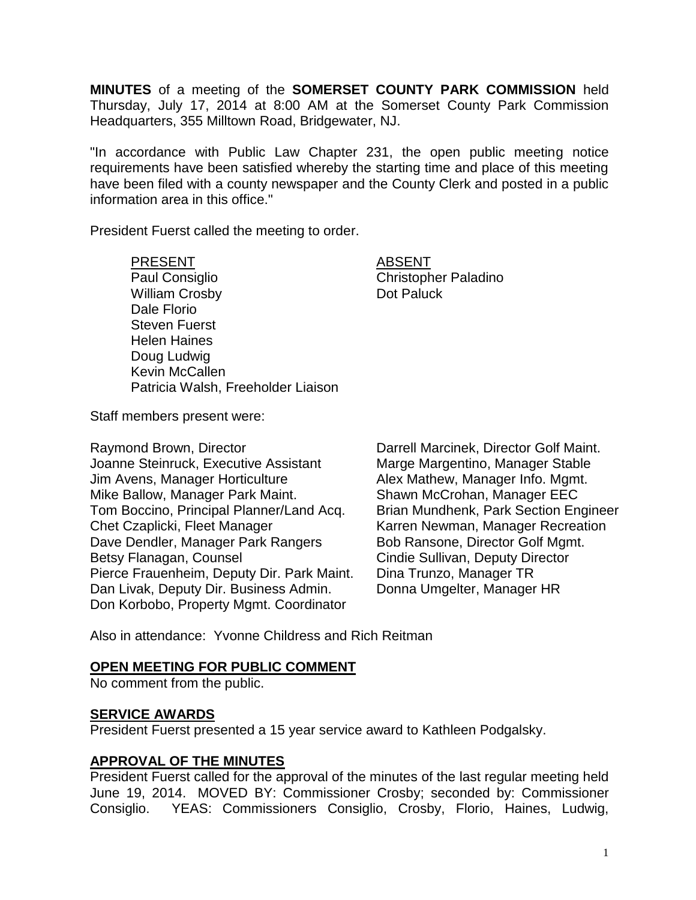**MINUTES** of a meeting of the **SOMERSET COUNTY PARK COMMISSION** held Thursday, July 17, 2014 at 8:00 AM at the Somerset County Park Commission Headquarters, 355 Milltown Road, Bridgewater, NJ.

"In accordance with Public Law Chapter 231, the open public meeting notice requirements have been satisfied whereby the starting time and place of this meeting have been filed with a county newspaper and the County Clerk and posted in a public information area in this office."

President Fuerst called the meeting to order.

PRESENT ABSENT Paul Consiglio **Christopher Paladino** William Crosby **Dot Paluck** Dale Florio Steven Fuerst Helen Haines Doug Ludwig Kevin McCallen Patricia Walsh, Freeholder Liaison

Staff members present were:

Raymond Brown, Director **Darrell Marcinek, Director Golf Maint.** Joanne Steinruck, Executive Assistant Marge Margentino, Manager Stable Jim Avens, Manager Horticulture **Alex Mathew, Manager Info. Mgmt.** Mike Ballow, Manager Park Maint. Shawn McCrohan, Manager EEC Tom Boccino, Principal Planner/Land Acq. Brian Mundhenk, Park Section Engineer Chet Czaplicki, Fleet Manager Karren Newman, Manager Recreation Dave Dendler, Manager Park Rangers Bob Ransone, Director Golf Mgmt. Betsy Flanagan, Counsel **Counsel Cindie Sullivan, Deputy Director** Pierce Frauenheim, Deputy Dir. Park Maint. Dina Trunzo, Manager TR Dan Livak, Deputy Dir. Business Admin. Donna Umgelter, Manager HR Don Korbobo, Property Mgmt. Coordinator

Also in attendance: Yvonne Childress and Rich Reitman

#### **OPEN MEETING FOR PUBLIC COMMENT**

No comment from the public.

## **SERVICE AWARDS**

President Fuerst presented a 15 year service award to Kathleen Podgalsky.

## **APPROVAL OF THE MINUTES**

President Fuerst called for the approval of the minutes of the last regular meeting held June 19, 2014. MOVED BY: Commissioner Crosby; seconded by: Commissioner Consiglio. YEAS: Commissioners Consiglio, Crosby, Florio, Haines, Ludwig,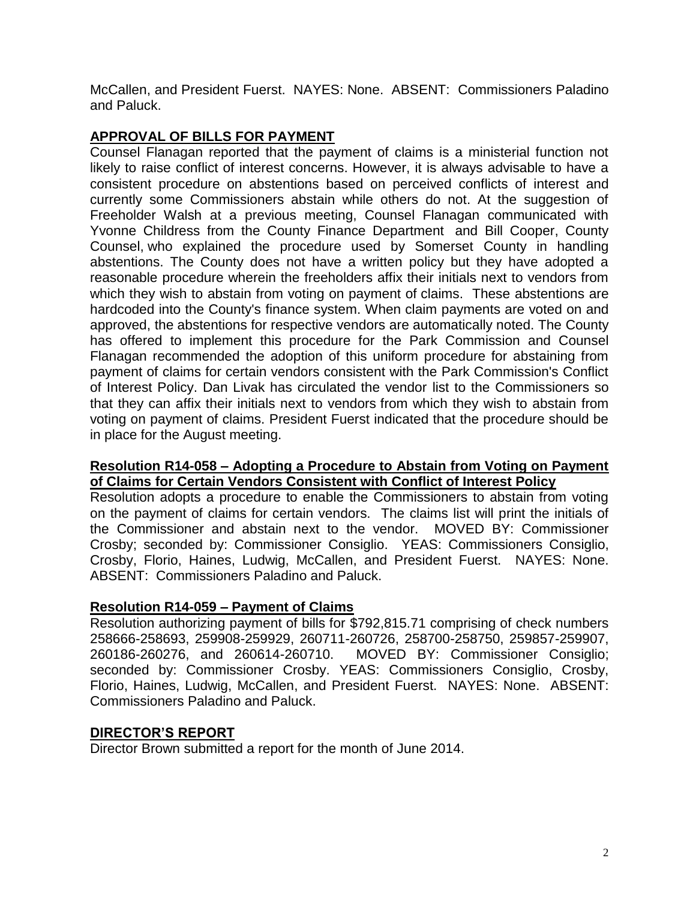McCallen, and President Fuerst. NAYES: None. ABSENT: Commissioners Paladino and Paluck.

# **APPROVAL OF BILLS FOR PAYMENT**

Counsel Flanagan reported that the payment of claims is a ministerial function not likely to raise conflict of interest concerns. However, it is always advisable to have a consistent procedure on abstentions based on perceived conflicts of interest and currently some Commissioners abstain while others do not. At the suggestion of Freeholder Walsh at a previous meeting, Counsel Flanagan communicated with Yvonne Childress from the County Finance Department and Bill Cooper, County Counsel, who explained the procedure used by Somerset County in handling abstentions. The County does not have a written policy but they have adopted a reasonable procedure wherein the freeholders affix their initials next to vendors from which they wish to abstain from voting on payment of claims. These abstentions are hardcoded into the County's finance system. When claim payments are voted on and approved, the abstentions for respective vendors are automatically noted. The County has offered to implement this procedure for the Park Commission and Counsel Flanagan recommended the adoption of this uniform procedure for abstaining from payment of claims for certain vendors consistent with the Park Commission's Conflict of Interest Policy. Dan Livak has circulated the vendor list to the Commissioners so that they can affix their initials next to vendors from which they wish to abstain from voting on payment of claims. President Fuerst indicated that the procedure should be in place for the August meeting.

## **Resolution R14-058 – Adopting a Procedure to Abstain from Voting on Payment of Claims for Certain Vendors Consistent with Conflict of Interest Policy**

Resolution adopts a procedure to enable the Commissioners to abstain from voting on the payment of claims for certain vendors. The claims list will print the initials of the Commissioner and abstain next to the vendor. MOVED BY: Commissioner Crosby; seconded by: Commissioner Consiglio. YEAS: Commissioners Consiglio, Crosby, Florio, Haines, Ludwig, McCallen, and President Fuerst. NAYES: None. ABSENT: Commissioners Paladino and Paluck.

## **Resolution R14-059 – Payment of Claims**

Resolution authorizing payment of bills for \$792,815.71 comprising of check numbers 258666-258693, 259908-259929, 260711-260726, 258700-258750, 259857-259907, 260186-260276, and 260614-260710. MOVED BY: Commissioner Consiglio; seconded by: Commissioner Crosby. YEAS: Commissioners Consiglio, Crosby, Florio, Haines, Ludwig, McCallen, and President Fuerst. NAYES: None. ABSENT: Commissioners Paladino and Paluck.

## **DIRECTOR'S REPORT**

Director Brown submitted a report for the month of June 2014.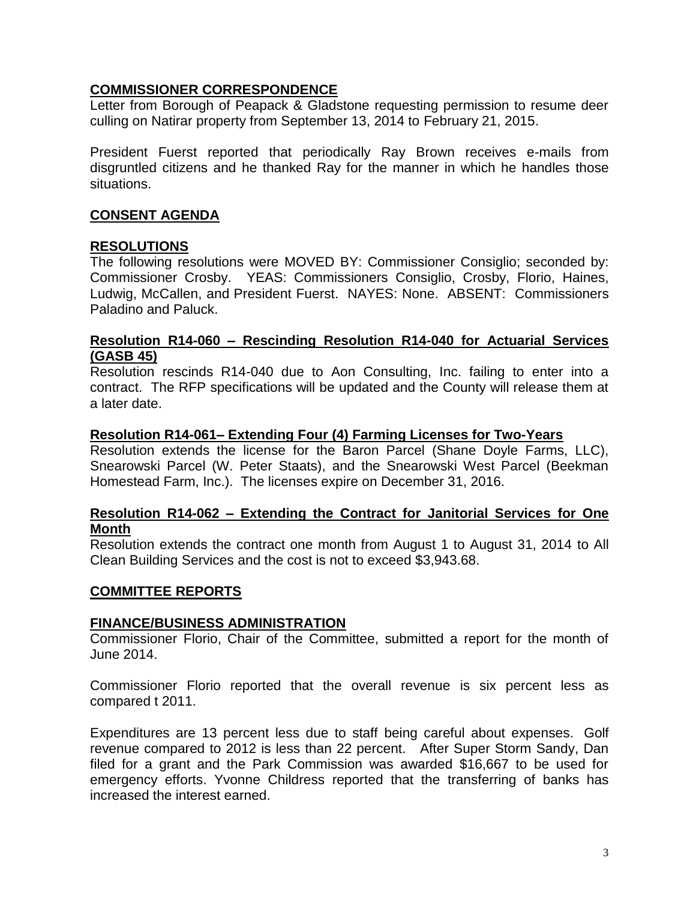# **COMMISSIONER CORRESPONDENCE**

Letter from Borough of Peapack & Gladstone requesting permission to resume deer culling on Natirar property from September 13, 2014 to February 21, 2015.

President Fuerst reported that periodically Ray Brown receives e-mails from disgruntled citizens and he thanked Ray for the manner in which he handles those situations.

# **CONSENT AGENDA**

## **RESOLUTIONS**

The following resolutions were MOVED BY: Commissioner Consiglio; seconded by: Commissioner Crosby. YEAS: Commissioners Consiglio, Crosby, Florio, Haines, Ludwig, McCallen, and President Fuerst. NAYES: None. ABSENT: Commissioners Paladino and Paluck.

## **Resolution R14-060 – Rescinding Resolution R14-040 for Actuarial Services (GASB 45)**

Resolution rescinds R14-040 due to Aon Consulting, Inc. failing to enter into a contract. The RFP specifications will be updated and the County will release them at a later date.

#### **Resolution R14-061– Extending Four (4) Farming Licenses for Two-Years**

Resolution extends the license for the Baron Parcel (Shane Doyle Farms, LLC), Snearowski Parcel (W. Peter Staats), and the Snearowski West Parcel (Beekman Homestead Farm, Inc.). The licenses expire on December 31, 2016.

### **Resolution R14-062 – Extending the Contract for Janitorial Services for One Month**

Resolution extends the contract one month from August 1 to August 31, 2014 to All Clean Building Services and the cost is not to exceed \$3,943.68.

## **COMMITTEE REPORTS**

#### **FINANCE/BUSINESS ADMINISTRATION**

Commissioner Florio, Chair of the Committee, submitted a report for the month of June 2014.

Commissioner Florio reported that the overall revenue is six percent less as compared t 2011.

Expenditures are 13 percent less due to staff being careful about expenses. Golf revenue compared to 2012 is less than 22 percent. After Super Storm Sandy, Dan filed for a grant and the Park Commission was awarded \$16,667 to be used for emergency efforts. Yvonne Childress reported that the transferring of banks has increased the interest earned.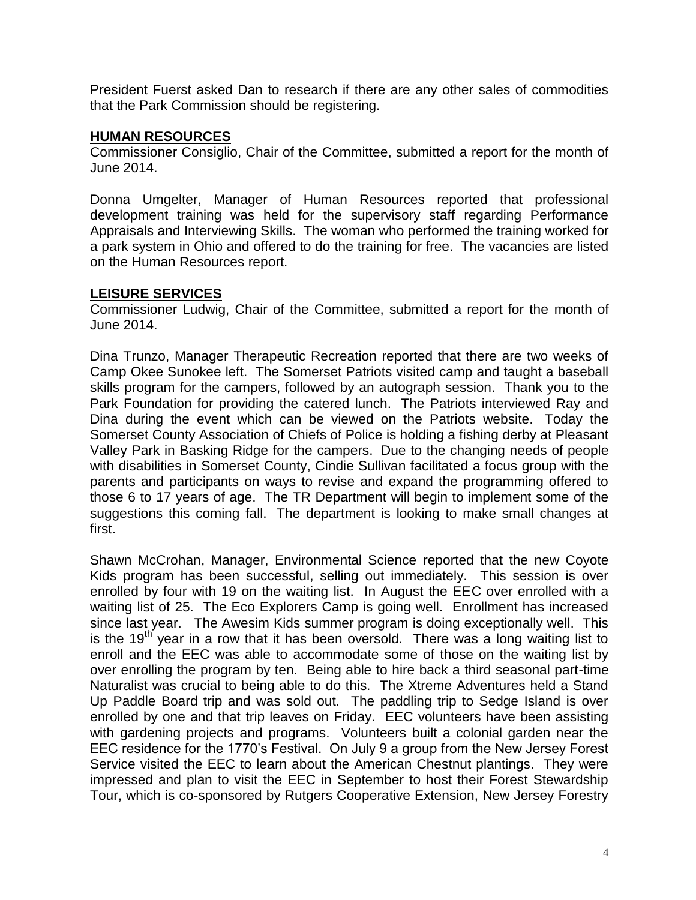President Fuerst asked Dan to research if there are any other sales of commodities that the Park Commission should be registering.

## **HUMAN RESOURCES**

Commissioner Consiglio, Chair of the Committee, submitted a report for the month of June 2014.

Donna Umgelter, Manager of Human Resources reported that professional development training was held for the supervisory staff regarding Performance Appraisals and Interviewing Skills. The woman who performed the training worked for a park system in Ohio and offered to do the training for free. The vacancies are listed on the Human Resources report.

# **LEISURE SERVICES**

Commissioner Ludwig, Chair of the Committee, submitted a report for the month of June 2014.

Dina Trunzo, Manager Therapeutic Recreation reported that there are two weeks of Camp Okee Sunokee left. The Somerset Patriots visited camp and taught a baseball skills program for the campers, followed by an autograph session. Thank you to the Park Foundation for providing the catered lunch. The Patriots interviewed Ray and Dina during the event which can be viewed on the Patriots website. Today the Somerset County Association of Chiefs of Police is holding a fishing derby at Pleasant Valley Park in Basking Ridge for the campers. Due to the changing needs of people with disabilities in Somerset County, Cindie Sullivan facilitated a focus group with the parents and participants on ways to revise and expand the programming offered to those 6 to 17 years of age. The TR Department will begin to implement some of the suggestions this coming fall. The department is looking to make small changes at first.

Shawn McCrohan, Manager, Environmental Science reported that the new Coyote Kids program has been successful, selling out immediately. This session is over enrolled by four with 19 on the waiting list. In August the EEC over enrolled with a waiting list of 25. The Eco Explorers Camp is going well. Enrollment has increased since last year. The Awesim Kids summer program is doing exceptionally well. This is the  $19<sup>th</sup>$  year in a row that it has been oversold. There was a long waiting list to enroll and the EEC was able to accommodate some of those on the waiting list by over enrolling the program by ten. Being able to hire back a third seasonal part-time Naturalist was crucial to being able to do this. The Xtreme Adventures held a Stand Up Paddle Board trip and was sold out. The paddling trip to Sedge Island is over enrolled by one and that trip leaves on Friday. EEC volunteers have been assisting with gardening projects and programs. Volunteers built a colonial garden near the EEC residence for the 1770's Festival. On July 9 a group from the New Jersey Forest Service visited the EEC to learn about the American Chestnut plantings. They were impressed and plan to visit the EEC in September to host their Forest Stewardship Tour, which is co-sponsored by Rutgers Cooperative Extension, New Jersey Forestry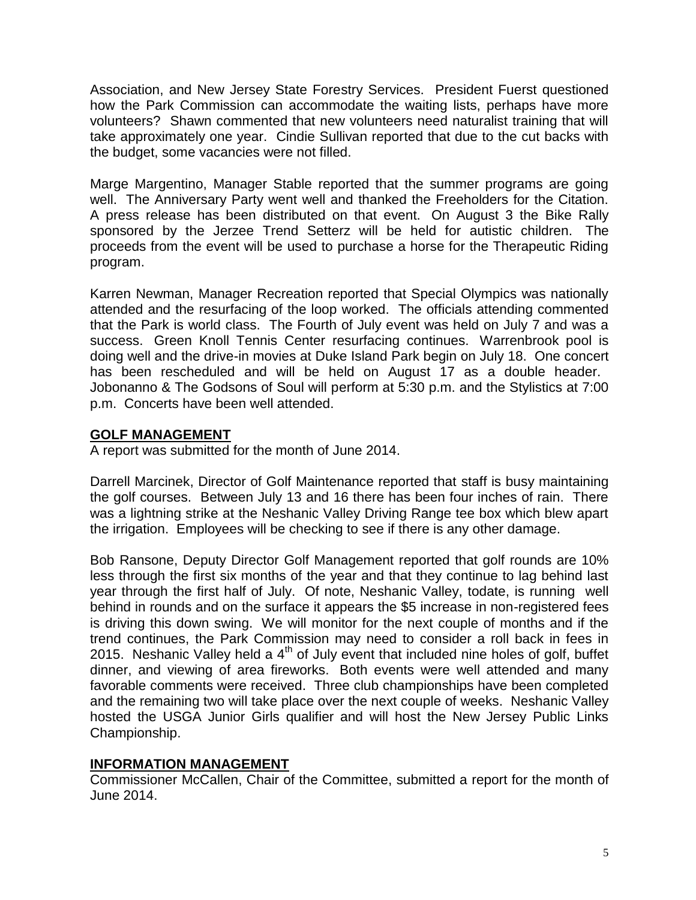Association, and New Jersey State Forestry Services. President Fuerst questioned how the Park Commission can accommodate the waiting lists, perhaps have more volunteers? Shawn commented that new volunteers need naturalist training that will take approximately one year. Cindie Sullivan reported that due to the cut backs with the budget, some vacancies were not filled.

Marge Margentino, Manager Stable reported that the summer programs are going well. The Anniversary Party went well and thanked the Freeholders for the Citation. A press release has been distributed on that event. On August 3 the Bike Rally sponsored by the Jerzee Trend Setterz will be held for autistic children. The proceeds from the event will be used to purchase a horse for the Therapeutic Riding program.

Karren Newman, Manager Recreation reported that Special Olympics was nationally attended and the resurfacing of the loop worked. The officials attending commented that the Park is world class. The Fourth of July event was held on July 7 and was a success. Green Knoll Tennis Center resurfacing continues. Warrenbrook pool is doing well and the drive-in movies at Duke Island Park begin on July 18. One concert has been rescheduled and will be held on August 17 as a double header. Jobonanno & The Godsons of Soul will perform at 5:30 p.m. and the Stylistics at 7:00 p.m. Concerts have been well attended.

## **GOLF MANAGEMENT**

A report was submitted for the month of June 2014.

Darrell Marcinek, Director of Golf Maintenance reported that staff is busy maintaining the golf courses. Between July 13 and 16 there has been four inches of rain. There was a lightning strike at the Neshanic Valley Driving Range tee box which blew apart the irrigation. Employees will be checking to see if there is any other damage.

Bob Ransone, Deputy Director Golf Management reported that golf rounds are 10% less through the first six months of the year and that they continue to lag behind last year through the first half of July. Of note, Neshanic Valley, todate, is running well behind in rounds and on the surface it appears the \$5 increase in non-registered fees is driving this down swing. We will monitor for the next couple of months and if the trend continues, the Park Commission may need to consider a roll back in fees in 2015. Neshanic Valley held a  $4<sup>th</sup>$  of July event that included nine holes of golf, buffet dinner, and viewing of area fireworks. Both events were well attended and many favorable comments were received. Three club championships have been completed and the remaining two will take place over the next couple of weeks. Neshanic Valley hosted the USGA Junior Girls qualifier and will host the New Jersey Public Links Championship.

# **INFORMATION MANAGEMENT**

Commissioner McCallen, Chair of the Committee, submitted a report for the month of June 2014.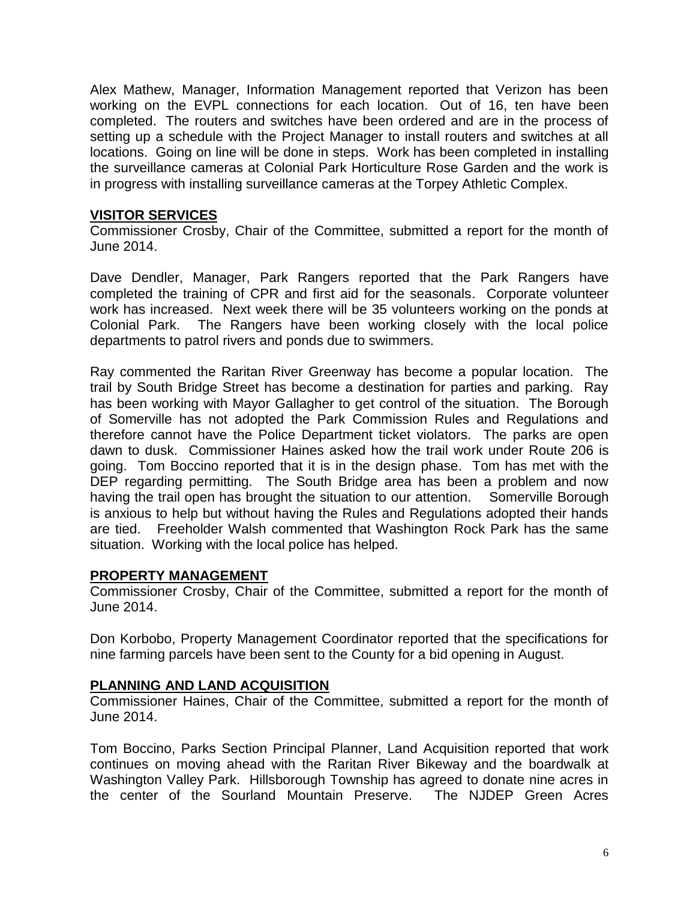Alex Mathew, Manager, Information Management reported that Verizon has been working on the EVPL connections for each location. Out of 16, ten have been completed. The routers and switches have been ordered and are in the process of setting up a schedule with the Project Manager to install routers and switches at all locations. Going on line will be done in steps. Work has been completed in installing the surveillance cameras at Colonial Park Horticulture Rose Garden and the work is in progress with installing surveillance cameras at the Torpey Athletic Complex.

### **VISITOR SERVICES**

Commissioner Crosby, Chair of the Committee, submitted a report for the month of June 2014.

Dave Dendler, Manager, Park Rangers reported that the Park Rangers have completed the training of CPR and first aid for the seasonals. Corporate volunteer work has increased. Next week there will be 35 volunteers working on the ponds at Colonial Park. The Rangers have been working closely with the local police departments to patrol rivers and ponds due to swimmers.

Ray commented the Raritan River Greenway has become a popular location. The trail by South Bridge Street has become a destination for parties and parking. Ray has been working with Mayor Gallagher to get control of the situation. The Borough of Somerville has not adopted the Park Commission Rules and Regulations and therefore cannot have the Police Department ticket violators. The parks are open dawn to dusk. Commissioner Haines asked how the trail work under Route 206 is going. Tom Boccino reported that it is in the design phase. Tom has met with the DEP regarding permitting. The South Bridge area has been a problem and now having the trail open has brought the situation to our attention. Somerville Borough is anxious to help but without having the Rules and Regulations adopted their hands are tied. Freeholder Walsh commented that Washington Rock Park has the same situation. Working with the local police has helped.

## **PROPERTY MANAGEMENT**

Commissioner Crosby, Chair of the Committee, submitted a report for the month of June 2014.

Don Korbobo, Property Management Coordinator reported that the specifications for nine farming parcels have been sent to the County for a bid opening in August.

#### **PLANNING AND LAND ACQUISITION**

Commissioner Haines, Chair of the Committee, submitted a report for the month of June 2014.

Tom Boccino, Parks Section Principal Planner, Land Acquisition reported that work continues on moving ahead with the Raritan River Bikeway and the boardwalk at Washington Valley Park. Hillsborough Township has agreed to donate nine acres in the center of the Sourland Mountain Preserve. The NJDEP Green Acres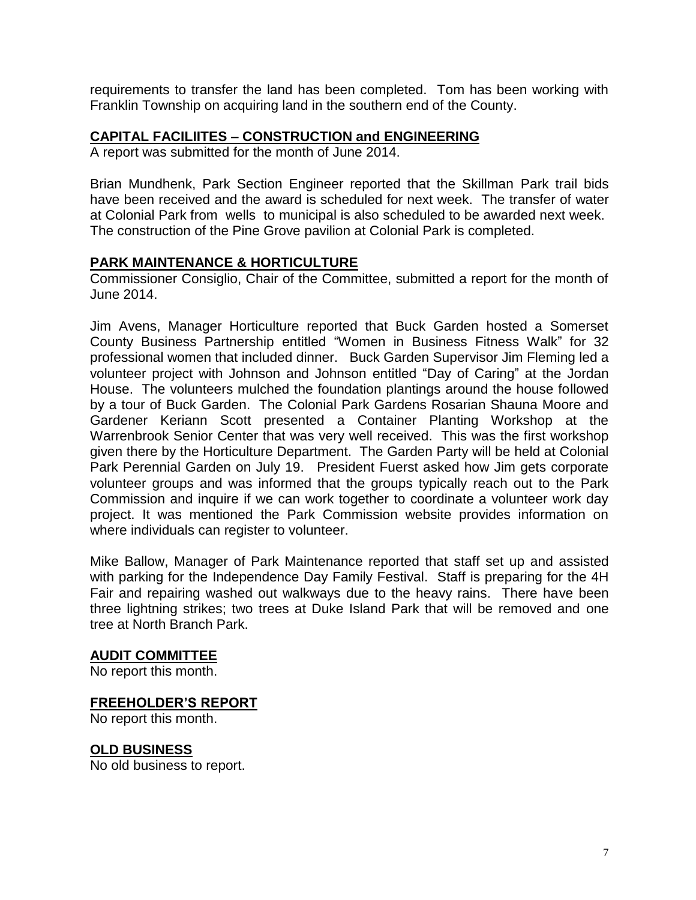requirements to transfer the land has been completed. Tom has been working with Franklin Township on acquiring land in the southern end of the County.

### **CAPITAL FACILIITES – CONSTRUCTION and ENGINEERING**

A report was submitted for the month of June 2014.

Brian Mundhenk, Park Section Engineer reported that the Skillman Park trail bids have been received and the award is scheduled for next week. The transfer of water at Colonial Park from wells to municipal is also scheduled to be awarded next week. The construction of the Pine Grove pavilion at Colonial Park is completed.

## **PARK MAINTENANCE & HORTICULTURE**

Commissioner Consiglio, Chair of the Committee, submitted a report for the month of June 2014.

Jim Avens, Manager Horticulture reported that Buck Garden hosted a Somerset County Business Partnership entitled "Women in Business Fitness Walk" for 32 professional women that included dinner. Buck Garden Supervisor Jim Fleming led a volunteer project with Johnson and Johnson entitled "Day of Caring" at the Jordan House. The volunteers mulched the foundation plantings around the house followed by a tour of Buck Garden. The Colonial Park Gardens Rosarian Shauna Moore and Gardener Keriann Scott presented a Container Planting Workshop at the Warrenbrook Senior Center that was very well received. This was the first workshop given there by the Horticulture Department. The Garden Party will be held at Colonial Park Perennial Garden on July 19. President Fuerst asked how Jim gets corporate volunteer groups and was informed that the groups typically reach out to the Park Commission and inquire if we can work together to coordinate a volunteer work day project. It was mentioned the Park Commission website provides information on where individuals can register to volunteer.

Mike Ballow, Manager of Park Maintenance reported that staff set up and assisted with parking for the Independence Day Family Festival. Staff is preparing for the 4H Fair and repairing washed out walkways due to the heavy rains. There have been three lightning strikes; two trees at Duke Island Park that will be removed and one tree at North Branch Park.

#### **AUDIT COMMITTEE**

No report this month.

#### **FREEHOLDER'S REPORT**

No report this month.

## **OLD BUSINESS**

No old business to report.